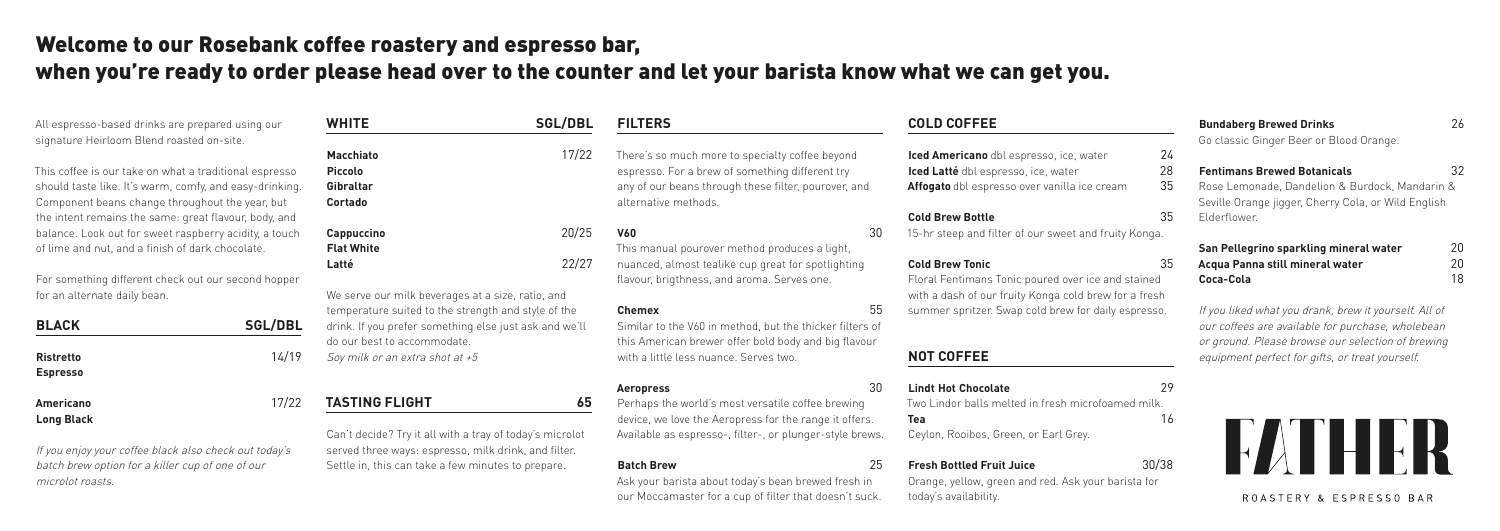All espresso-based drinks are prepared using our signature Heirloom Blend roasted on-site.

This coffee is our take on what a traditional espresso should taste like. It's warm, comfy, and easy-drinking. Component beans change throughout the year, but the intent remains the same: great flavour, body, and balance. Look out for sweet raspberry acidity, a touch of lime and nut, and a finish of dark chocolate.

For something different check out our second hopper for an alternate daily bean.

| <b>BLACK</b>                        | <b>SGL/DBL</b> |
|-------------------------------------|----------------|
| <b>Ristretto</b><br><b>Espresso</b> | 14/19          |
| <b>Americano</b>                    | 17/22          |

**Long Black**

### If you enjoy your coffee black also check out today's batch brew option for a killer cup of one of our microlot roasts.

Settle in, this can take a few minutes to prepare.

| <b>WHITE</b>                                                                                                                                                                                      | <b>SGL/DBL</b> | <b>FILTERS</b>                                                                                                                                                                     |                                                                                                                                             | <b>COLD COFFEE</b>                                                                                                             |                |
|---------------------------------------------------------------------------------------------------------------------------------------------------------------------------------------------------|----------------|------------------------------------------------------------------------------------------------------------------------------------------------------------------------------------|---------------------------------------------------------------------------------------------------------------------------------------------|--------------------------------------------------------------------------------------------------------------------------------|----------------|
| <b>Macchiato</b><br><b>Piccolo</b><br><b>Gibraltar</b><br><b>Cortado</b>                                                                                                                          | 17/22          | There's so much more to specialty coffee beyond<br>espresso. For a brew of something different try<br>any of our beans through these filter, pourover, and<br>alternative methods. |                                                                                                                                             | Iced Americano dbl espresso, ice, water<br>Iced Latté dbl espresso, ice, water<br>Affogato dbl espresso over vanilla ice cream | 24<br>28<br>35 |
|                                                                                                                                                                                                   |                |                                                                                                                                                                                    |                                                                                                                                             | <b>Cold Brew Bottle</b>                                                                                                        | 35             |
| Cappuccino                                                                                                                                                                                        | 20/25          | <b>V60</b>                                                                                                                                                                         | 30                                                                                                                                          | 15-hr steep and filter of our sweet and fruity Konga.                                                                          |                |
| <b>Flat White</b>                                                                                                                                                                                 |                | This manual pourover method produces a light,                                                                                                                                      |                                                                                                                                             |                                                                                                                                |                |
| Latté                                                                                                                                                                                             | 22/27          | nuanced, almost tealike cup great for spotlighting<br>flavour, brigthness, and aroma. Serves one.                                                                                  | 35<br><b>Cold Brew Tonic</b><br>Floral Fentimans Tonic poured over ice and stained<br>with a dash of our fruity Konga cold brew for a fresh |                                                                                                                                |                |
| We serve our milk beverages at a size, ratio, and<br>temperature suited to the strength and style of the<br>drink. If you prefer something else just ask and we'll<br>do our best to accommodate. |                | <b>Chemex</b><br>Similar to the V60 in method, but the thicker filters of<br>this American brewer offer bold body and big flavour                                                  | 55                                                                                                                                          | summer spritzer. Swap cold brew for daily espresso.                                                                            |                |
| Soy milk or an extra shot at +5                                                                                                                                                                   |                | with a little less nuance. Serves two.                                                                                                                                             |                                                                                                                                             | <b>NOT COFFEE</b>                                                                                                              |                |
|                                                                                                                                                                                                   |                | <b>Aeropress</b>                                                                                                                                                                   | 30                                                                                                                                          | <b>Lindt Hot Chocolate</b>                                                                                                     | 29             |
| <b>TASTING FLIGHT</b><br>65                                                                                                                                                                       |                | Perhaps the world's most versatile coffee brewing                                                                                                                                  |                                                                                                                                             | Two Lindor balls melted in fresh microfoamed milk.                                                                             |                |
|                                                                                                                                                                                                   |                | device, we love the Aeropress for the range it offers.                                                                                                                             |                                                                                                                                             | Tea                                                                                                                            | 16             |
| Can't decide? Try it all with a tray of today's microlot<br>served three ways: espresso, milk drink, and filter.                                                                                  |                | Available as espresso-, filter-, or plunger-style brews.                                                                                                                           |                                                                                                                                             | Ceylon, Rooibos, Green, or Earl Grey.                                                                                          |                |

#### **Batch Brew** 25

Ask your barista about today's bean brewed fresh in our Moccamaster for a cup of filter that doesn't suck. **Fresh Bottled Fruit Juice** 30/38 Orange, yellow, green and red. Ask your barista for



today's availability.

|   | <b>Bundaberg Brewed Drinks</b>                        | 26 |
|---|-------------------------------------------------------|----|
| ۰ | Go classic Ginger Beer or Blood Orange.               |    |
| 4 |                                                       |    |
| 8 | <b>Fentimans Brewed Botanicals</b>                    | 32 |
| 5 | Rose Lemonade, Dandelion & Burdock, Mandarin &        |    |
|   | Seville Orange jigger, Cherry Cola, or Wild English   |    |
| 5 | Elderflower.                                          |    |
|   | San Pellegrino sparkling mineral water                | 20 |
| 5 | Acqua Panna still mineral water                       | 20 |
|   | Coca-Cola                                             | 18 |
|   | If you liked what you drank, brew it yourself. All of |    |
|   |                                                       |    |

our coffees are available for purchase, wholebean or ground. Please browse our selection of brewing equipment perfect for gifts, or treat yourself.



# Welcome to our Rosebank coffee roastery and espresso bar,

# when you're ready to order please head over to the counter and let your barista know what we can get you.